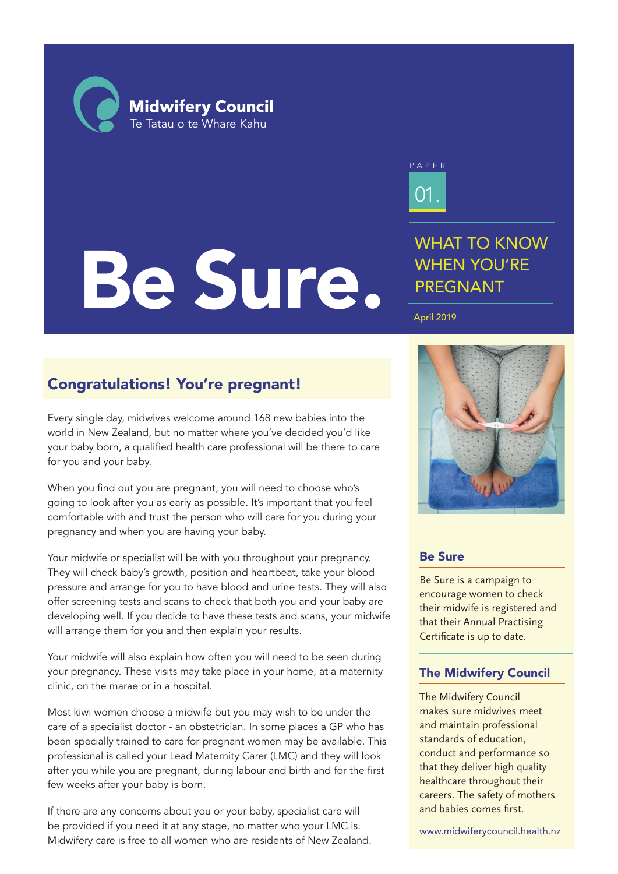**Midwifery Council** Te Tatau o te Whare Kahu

# Be Sure.

01. PAPER

WHAT TO KNOW WHEN YOU'RE PREGNANT

### April 2019

# Congratulations! You're pregnant!

Every single day, midwives welcome around 168 new babies into the world in New Zealand, but no matter where you've decided you'd like your baby born, a qualified health care professional will be there to care for you and your baby.

When you find out you are pregnant, you will need to choose who's going to look after you as early as possible. It's important that you feel comfortable with and trust the person who will care for you during your pregnancy and when you are having your baby.

Your midwife or specialist will be with you throughout your pregnancy. They will check baby's growth, position and heartbeat, take your blood pressure and arrange for you to have blood and urine tests. They will also offer screening tests and scans to check that both you and your baby are developing well. If you decide to have these tests and scans, your midwife will arrange them for you and then explain your results.

Your midwife will also explain how often you will need to be seen during your pregnancy. These visits may take place in your home, at a maternity clinic, on the marae or in a hospital.

Most kiwi women choose a midwife but you may wish to be under the care of a specialist doctor - an obstetrician. In some places a GP who has been specially trained to care for pregnant women may be available. This professional is called your Lead Maternity Carer (LMC) and they will look after you while you are pregnant, during labour and birth and for the first few weeks after your baby is born.

If there are any concerns about you or your baby, specialist care will be provided if you need it at any stage, no matter who your LMC is. Midwifery care is free to all women who are residents of New Zealand.



# Be Sure

Be Sure is a campaign to encourage women to check their midwife is registered and that their Annual Practising Certificate is up to date.

# The Midwifery Council

The Midwifery Council makes sure midwives meet and maintain professional standards of education, conduct and performance so that they deliver high quality healthcare throughout their careers. The safety of mothers and babies comes first.

www.midwiferycouncil.health.nz